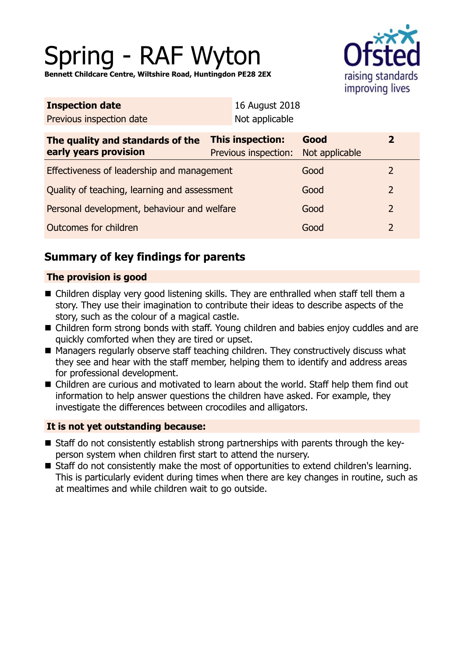# Spring - RAF Wyton



**Bennett Childcare Centre, Wiltshire Road, Huntingdon PE28 2EX**

| <b>Inspection date</b>                                    |                                          | 16 August 2018         |                |  |
|-----------------------------------------------------------|------------------------------------------|------------------------|----------------|--|
| Previous inspection date                                  | Not applicable                           |                        |                |  |
| The quality and standards of the<br>early years provision | This inspection:<br>Previous inspection: | Good<br>Not applicable | $\mathbf{2}$   |  |
| Effectiveness of leadership and management                |                                          | Good                   | 2              |  |
| Quality of teaching, learning and assessment              |                                          | Good                   | 2              |  |
| Personal development, behaviour and welfare               |                                          | Good                   | $\overline{2}$ |  |
| Outcomes for children                                     |                                          | Good                   | 2              |  |
|                                                           |                                          |                        |                |  |

# **Summary of key findings for parents**

## **The provision is good**

- Children display very good listening skills. They are enthralled when staff tell them a story. They use their imagination to contribute their ideas to describe aspects of the story, such as the colour of a magical castle.
- Children form strong bonds with staff. Young children and babies enjoy cuddles and are quickly comforted when they are tired or upset.
- Managers regularly observe staff teaching children. They constructively discuss what they see and hear with the staff member, helping them to identify and address areas for professional development.
- Children are curious and motivated to learn about the world. Staff help them find out information to help answer questions the children have asked. For example, they investigate the differences between crocodiles and alligators.

## **It is not yet outstanding because:**

- Staff do not consistently establish strong partnerships with parents through the keyperson system when children first start to attend the nursery.
- Staff do not consistently make the most of opportunities to extend children's learning. This is particularly evident during times when there are key changes in routine, such as at mealtimes and while children wait to go outside.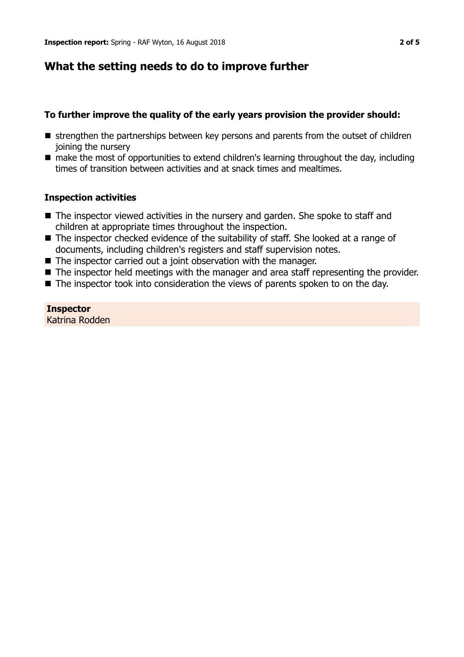# **What the setting needs to do to improve further**

## **To further improve the quality of the early years provision the provider should:**

- **n** strengthen the partnerships between key persons and parents from the outset of children joining the nursery
- make the most of opportunities to extend children's learning throughout the day, including times of transition between activities and at snack times and mealtimes.

### **Inspection activities**

- $\blacksquare$  The inspector viewed activities in the nursery and garden. She spoke to staff and children at appropriate times throughout the inspection.
- $\blacksquare$  The inspector checked evidence of the suitability of staff. She looked at a range of documents, including children's registers and staff supervision notes.
- $\blacksquare$  The inspector carried out a joint observation with the manager.
- $\blacksquare$  The inspector held meetings with the manager and area staff representing the provider.
- $\blacksquare$  The inspector took into consideration the views of parents spoken to on the day.

## **Inspector**

Katrina Rodden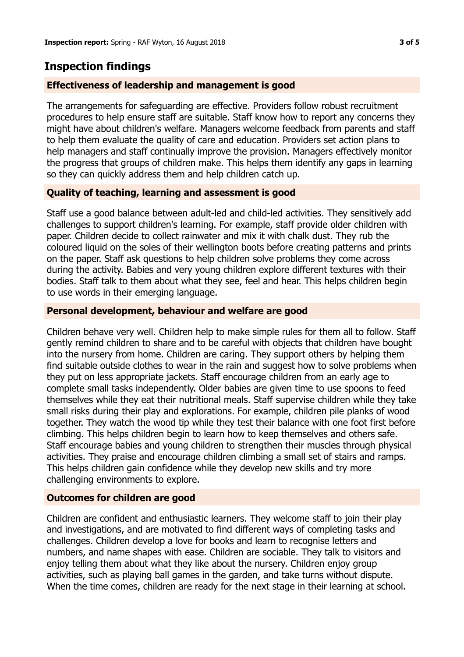# **Inspection findings**

#### **Effectiveness of leadership and management is good**

The arrangements for safeguarding are effective. Providers follow robust recruitment procedures to help ensure staff are suitable. Staff know how to report any concerns they might have about children's welfare. Managers welcome feedback from parents and staff to help them evaluate the quality of care and education. Providers set action plans to help managers and staff continually improve the provision. Managers effectively monitor the progress that groups of children make. This helps them identify any gaps in learning so they can quickly address them and help children catch up.

#### **Quality of teaching, learning and assessment is good**

Staff use a good balance between adult-led and child-led activities. They sensitively add challenges to support children's learning. For example, staff provide older children with paper. Children decide to collect rainwater and mix it with chalk dust. They rub the coloured liquid on the soles of their wellington boots before creating patterns and prints on the paper. Staff ask questions to help children solve problems they come across during the activity. Babies and very young children explore different textures with their bodies. Staff talk to them about what they see, feel and hear. This helps children begin to use words in their emerging language.

#### **Personal development, behaviour and welfare are good**

Children behave very well. Children help to make simple rules for them all to follow. Staff gently remind children to share and to be careful with objects that children have bought into the nursery from home. Children are caring. They support others by helping them find suitable outside clothes to wear in the rain and suggest how to solve problems when they put on less appropriate jackets. Staff encourage children from an early age to complete small tasks independently. Older babies are given time to use spoons to feed themselves while they eat their nutritional meals. Staff supervise children while they take small risks during their play and explorations. For example, children pile planks of wood together. They watch the wood tip while they test their balance with one foot first before climbing. This helps children begin to learn how to keep themselves and others safe. Staff encourage babies and young children to strengthen their muscles through physical activities. They praise and encourage children climbing a small set of stairs and ramps. This helps children gain confidence while they develop new skills and try more challenging environments to explore.

#### **Outcomes for children are good**

Children are confident and enthusiastic learners. They welcome staff to join their play and investigations, and are motivated to find different ways of completing tasks and challenges. Children develop a love for books and learn to recognise letters and numbers, and name shapes with ease. Children are sociable. They talk to visitors and enjoy telling them about what they like about the nursery. Children enjoy group activities, such as playing ball games in the garden, and take turns without dispute. When the time comes, children are ready for the next stage in their learning at school.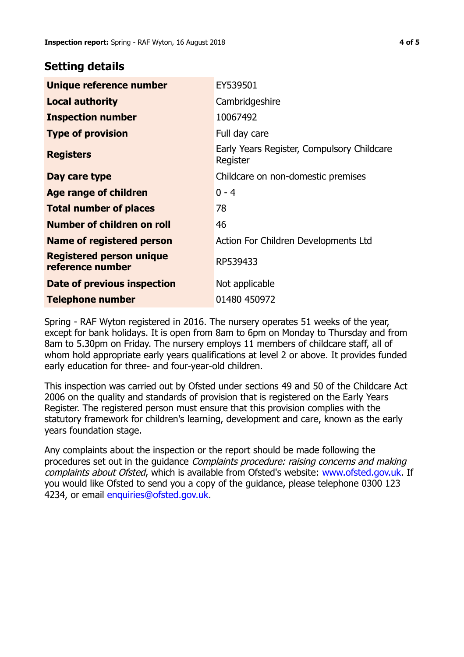# **Setting details**

| Unique reference number                             | EY539501                                               |  |
|-----------------------------------------------------|--------------------------------------------------------|--|
| <b>Local authority</b>                              | Cambridgeshire                                         |  |
| <b>Inspection number</b>                            | 10067492                                               |  |
| <b>Type of provision</b>                            | Full day care                                          |  |
| <b>Registers</b>                                    | Early Years Register, Compulsory Childcare<br>Register |  |
| Day care type                                       | Childcare on non-domestic premises                     |  |
| Age range of children                               | $0 - 4$                                                |  |
| <b>Total number of places</b>                       | 78                                                     |  |
| Number of children on roll                          | 46                                                     |  |
| Name of registered person                           | Action For Children Developments Ltd                   |  |
| <b>Registered person unique</b><br>reference number | RP539433                                               |  |
| Date of previous inspection                         | Not applicable                                         |  |
| <b>Telephone number</b>                             | 01480 450972                                           |  |

Spring - RAF Wyton registered in 2016. The nursery operates 51 weeks of the year, except for bank holidays. It is open from 8am to 6pm on Monday to Thursday and from 8am to 5.30pm on Friday. The nursery employs 11 members of childcare staff, all of whom hold appropriate early years qualifications at level 2 or above. It provides funded early education for three- and four-year-old children.

This inspection was carried out by Ofsted under sections 49 and 50 of the Childcare Act 2006 on the quality and standards of provision that is registered on the Early Years Register. The registered person must ensure that this provision complies with the statutory framework for children's learning, development and care, known as the early years foundation stage.

Any complaints about the inspection or the report should be made following the procedures set out in the guidance Complaints procedure: raising concerns and making complaints about Ofsted, which is available from Ofsted's website: www.ofsted.gov.uk. If you would like Ofsted to send you a copy of the guidance, please telephone 0300 123 4234, or email [enquiries@ofsted.gov.uk.](mailto:enquiries@ofsted.gov.uk)